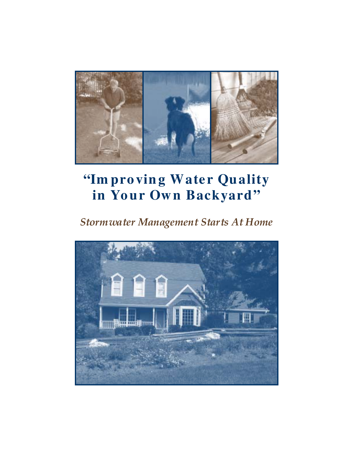

# "Im pro ving Water Quality in Your Own Backyard"

# *Stormwater Management Starts At Home*

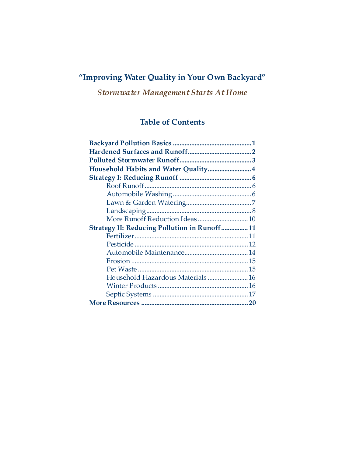# **"Improving Water Quality in Your Own Backyard"**

*Stormwater Management Starts At Home* 

# **Table of Contents**

| Household Habits and Water Quality 4                |  |
|-----------------------------------------------------|--|
|                                                     |  |
|                                                     |  |
|                                                     |  |
|                                                     |  |
|                                                     |  |
|                                                     |  |
| <b>Strategy II: Reducing Pollution in Runoff 11</b> |  |
|                                                     |  |
|                                                     |  |
|                                                     |  |
|                                                     |  |
|                                                     |  |
|                                                     |  |
|                                                     |  |
|                                                     |  |
|                                                     |  |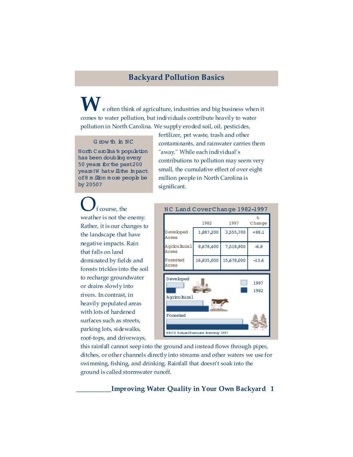# **Backyard Pollution Basics**

**W**e often think of agriculture, industries and big business when it comes to water pollution, but individuals contribute heavily to water pollution in North Carolina. We supply eroded soil, oil, pesticides,

#### G row th in NC

North Carolina's population has been doubling every 50 years forthe past200 years!W hatwill the impact of8 m illion m ore people be by 2050?

fertilizer, pet waste, trash and other contaminants, and rainwater carries them "away." While each individual's contributions to pollution may seem very small, the cumulative effect of over eight million people in North Carolina is significant.

f course, the weather is not the enemy. Rather, it is our changes to the landscape that have negative impacts. Rain that falls on land dominated by fields and forests trickles into the soil to recharge groundwater or drains slowly into rivers. In contrast, in heavily populated areas with lots of hardened surfaces such as streets, parking lots, sidewalks, roof-tops, and driveways,



this rainfall cannot seep into the ground and instead flows through pipes, ditches, or other channels directly into streams and other waters we use for swimming, fishing, and drinking. Rainfall that doesn't soak into the ground is called stormwater runoff.

## **\_\_\_\_\_\_\_\_\_\_Improving Water Quality in Your Own Backyard 1**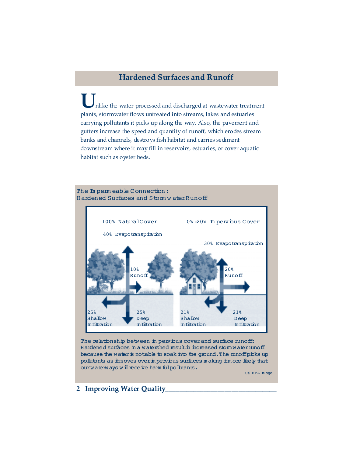# **Hardened Surfaces and Runoff**

nlike the water processed and discharged at wastewater treatment plants, stormwater flows untreated into streams, lakes and estuaries carrying pollutants it picks up along the way. Also, the pavement and gutters increase the speed and quantity of runoff, which erodes stream banks and channels, destroys fish habitat and carries sediment downstream where it may fill in reservoirs, estuaries, or cover aquatic habitat such as oyster beds.



The relationship between im pervious cover and surface runoff: Hardened surfaces in a watershed result in increased storm water runoff because the water is notable to soak into the ground. The runoff picks up pollutants as itm oves over in pervious surfaces making itm ore likely that ourwaterways will receive harm fulpollutants.

US EPA Im age

## **2 Improving Water Quality\_\_\_\_\_\_\_\_\_\_\_\_\_\_\_\_\_\_\_\_\_\_\_\_\_\_\_\_\_\_\_\_**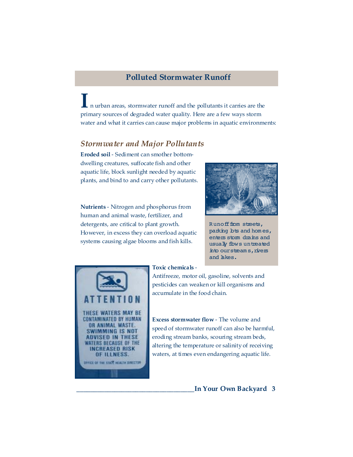## **Polluted Stormwater Runoff**

**I** n urban areas, stormwater runoff and the pollutants it carries are the primary sources of degraded water quality. Here are a few ways storm water and what it carries can cause major problems in aquatic environments:

## *Stormwater and Major Pollutants*

**Eroded soil** - Sediment can smother bottomdwelling creatures, suffocate fish and other aquatic life, block sunlight needed by aquatic plants, and bind to and carry other pollutants.

**Nutrients** - Nitrogen and phosphorus from human and animal waste, fertilizer, and detergents, are critical to plant growth. However, in excess they can overload aquatic systems causing algae blooms and fish kills.



Runofffrom streets, parking bts and homes, enters stom drains and usually flows untreated into our stream s, rivers and hkes.



### **Toxic chemicals** -

Antifreeze, motor oil, gasoline, solvents and pesticides can weaken or kill organisms and accumulate in the food chain.

**Excess stormwater flow** - The volume and speed of stormwater runoff can also be harmful, eroding stream banks, scouring stream beds, altering the temperature or salinity of receiving waters, at times even endangering aquatic life.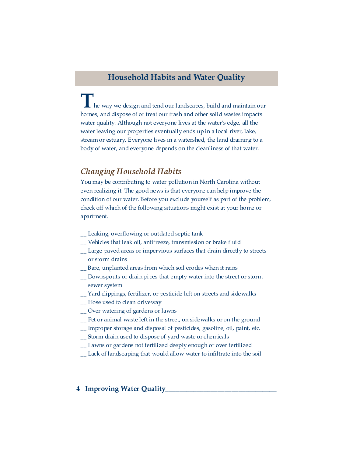# **Household Habits and Water Quality**

**T**he way we design and tend our landscapes, build and maintain our homes, and dispose of or treat our trash and other solid wastes impacts water quality. Although not everyone lives at the water's edge, all the water leaving our properties eventually ends up in a local river, lake, stream or estuary. Everyone lives in a watershed, the land draining to a body of water, and everyone depends on the cleanliness of that water.

## *Changing Household Habits*

You may be contributing to water pollution in North Carolina without even realizing it. The good news is that everyone can help improve the condition of our water. Before you exclude yourself as part of the problem, check off which of the following situations might exist at your home or apartment.

- \_\_ Leaking, overflowing or outdated septic tank
- \_\_ Vehicles that leak oil, antifreeze, transmission or brake fluid
- \_\_ Large paved areas or impervious surfaces that drain directly to streets or storm drains
- \_\_ Bare, unplanted areas from which soil erodes when it rains
- \_\_ Downspouts or drain pipes that empty water into the street or storm sewer system
- \_\_ Yard clippings, fertilizer, or pesticide left on streets and sidewalks
- \_\_ Hose used to clean driveway
- \_\_ Over watering of gardens or lawns
- \_\_ Pet or animal waste left in the street, on sidewalks or on the ground
- \_\_ Improper storage and disposal of pesticides, gasoline, oil, paint, etc.
- \_\_ Storm drain used to dispose of yard waste or chemicals
- \_\_ Lawns or gardens not fertilized deeply enough or over fertilized
- \_\_ Lack of landscaping that would allow water to infiltrate into the soil

## **4 Improving Water Quality**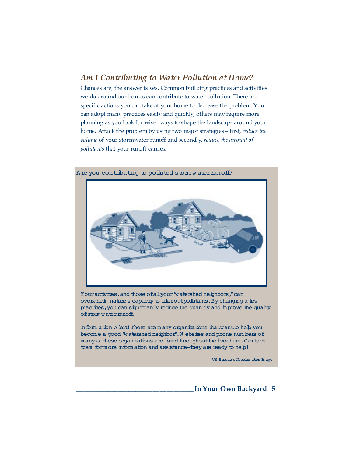## *Am I Contributing to Water Pollution at Home?*

Chances are, the answer is yes. Common building practices and activities we do around our homes can contribute to water pollution. There are specific actions you can take at your home to decrease the problem. You can adopt many practices easily and quickly, others may require more planning as you look for wiser ways to shape the landscape around your home. Attack the problem by using two major strategies – first, *reduce the volume* of your stormwater runoff and secondly, *reduce the amount of pollutants* that your runoff carries.



A re you contributing to polluted stom w ater mnoff?

Youractivities, and those of all your "watershed neighbors," can overwhelm nature's capacity to filterout pollutants. By changing a few practices, you can significantly reduce the quantity and in prove the quality ofstom water nunoff.

In form ation A lert! There are m any organizations that want to help you become a good "watershed neighbor". Websites and phone numbers of m any of these organizations are listed throughout the brochure. Contact them form one inform ation and assistance-they are ready to help!

US Bureau of Reclam ation In age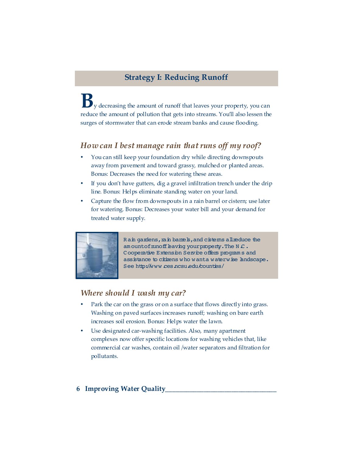# **Strategy I: Reducing Runoff**

**B**y decreasing the amount of runoff that leaves your property, you can reduce the amount of pollution that gets into streams. You'll also lessen the surges of stormwater that can erode stream banks and cause flooding.

# *How can I best manage rain that runs off my roof?*

- You can still keep your foundation dry while directing downspouts away from pavement and toward grassy, mulched or planted areas. Bonus: Decreases the need for watering these areas.
- If you don't have gutters, dig a gravel infiltration trench under the drip line. Bonus: Helps eliminate standing water on your land.
- Capture the flow from downspouts in a rain barrel or cistern; use later for watering. Bonus: Decreases your water bill and your demand for treated water supply.



Rain gardens, rain barrels, and cisterns all reduce the am ountofrunoff baving your property. The N $c$ . Cooperative Extension Service offers program s and assistance to citizens who wanta waterwise landscape. See http://www.ces.ncsu.edu/counties/

# *Where should I wash my car?*

- Park the car on the grass or on a surface that flows directly into grass. Washing on paved surfaces increases runoff; washing on bare earth increases soil erosion. Bonus: Helps water the lawn.
- Use designated car-washing facilities. Also, many apartment complexes now offer specific locations for washing vehicles that, like commercial car washes, contain oil /water separators and filtration for pollutants.

## **6 Improving Water Quality\_\_\_\_\_\_\_\_\_\_\_\_\_\_\_\_\_\_\_\_\_\_\_\_\_\_\_\_\_\_\_\_**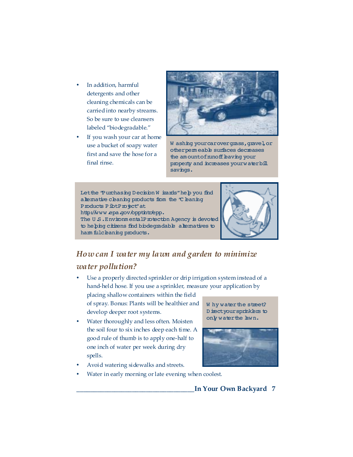- In addition, harmful detergents and other cleaning chemicals can be carried into nearby streams. So be sure to use cleansers labeled "biodegradable."
- If you wash your car at home use a bucket of soapy water first and save the hose for a final rinse.



W ashing yourcarovergrass, gravel, or otherperm eable surfaces decreases the am ountofrunoff baving your property and increases yourwaterbill savings.



# *How can I water my lawn and garden to minimize water pollution?*

Use a properly directed sprinkler or drip irrigation system instead of a hand-held hose. If you use a sprinkler, measure your application by

placing shallow containers within the field of spray. Bonus: Plants will be healthier and develop deeper root systems.

• Water thoroughly and less often. Moisten the soil four to six inches deep each time. A good rule of thumb is to apply one-half to one inch of water per week during dry spells.

W hy water the street? Directyour sprinklers to only water the lawn.



- Avoid watering sidewalks and streets.
- Water in early morning or late evening when coolest.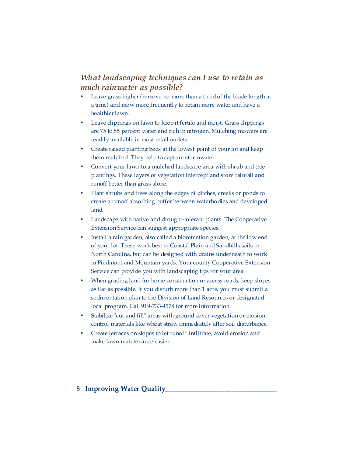# *What landscaping techniques can I use to retain as much rainwater as possible?*

- Leave grass higher (remove no more than a third of the blade length at a time) and mow more frequently to retain more water and have a healthier lawn.
- Leave clippings on lawn to keep it fertile and moist. Grass clippings are 75 to 85 percent water and rich in nitrogen. Mulching mowers are readily available in most retail outlets.
- Create raised planting beds at the lowest point of your lot and keep them mulched. They help to capture stormwater.
- Convert your lawn to a mulched landscape area with shrub and tree plantings. These layers of vegetation intercept and store rainfall and runoff better than grass alone.
- Plant shrubs and trees along the edges of ditches, creeks or ponds to create a runoff absorbing buffer between waterbodies and developed land.
- Landscape with native and drought-tolerant plants. The Cooperative Extension Service can suggest appropriate species.
- Install a rain garden, also called a bioretention garden, at the low end of your lot. These work best in Coastal Plain and Sandhills soils in North Carolina, but can be designed with drains underneath to work in Piedmont and Mountain yards. Your county Cooperative Extension Service can provide you with landscaping tips for your area.
- When grading land for home construction or access roads, keep slopes as flat as possible. If you disturb more than 1 acre, you must submit a sedimentation plan to the Division of Land Resources or designated local program. Call 919-733-4574 for more information.
- Stabilize "cut and fill" areas with ground cover vegetation or erosion control materials like wheat straw immediately after soil disturbance.
- Create terraces on slopes to let runoff infiltrate, avoid erosion and make lawn maintenance easier.

## **8 Improving Water Quality**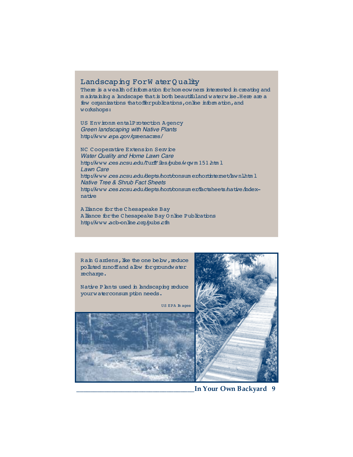## Landscaping ForW ater Quality

There is a wealth of information for homeowners interested in creating and m a intaining a landscape that is both beautifuland waterwise. Here are a few organizations thatoffer publications, on line information, and workshops:

US Environm entalProtection Agency *Green landscaping with Native Plants*  http://www.epa.gov/greenacres/

NC Cooperative Extension Service *Water Quality and Home Lawn Care*  http://www.ces.ncsu.edu/TurfFiles/pubs/wqw m 151.htm l *Lawn Care*  http://www.ces.ncsu.edu/depts/hort/consum er/hortinternet/lawnl.html *Native Tree & Shrub Fact Sheets*  http://www.ces.ncsu.edu/depts/hort/consum er/factsheets/native/indexnative

Alliance for the Chesapeake Bay A liance for the Chesapeake Bay Online Publications http://www.acb-online.org/pubs.cfm

Rain G ardens, like the one below, reduce polluted mnoffand albw forgroundwater recharge.

Native Plants used in landscaping reduce yourwaterconsum ption needs.

US EPA Im ages

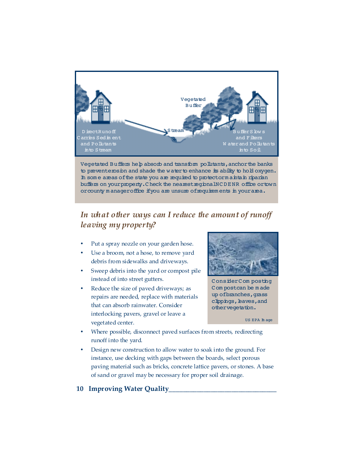

Vegetated Buffers help absorb and transform pollutants, anchor the banks to preventeros in and shade the water to enhance its ability to hold oxygen. In some areas of the state you are required to protectorm aintain riparian buffers on your property. Check the nearest regionalNCDENR office or town orcounty m anageroffice if you are unsure of requirem ents in your area.

# *In what other ways can I reduce the amount of runoff leaving my property?*

- Put a spray nozzle on your garden hose.
- Use a broom, not a hose, to remove yard debris from sidewalks and driveways.
- Sweep debris into the yard or compost pile instead of into street gutters.
- Reduce the size of paved driveways; as repairs are needed, replace with materials that can absorb rainwater. Consider interlocking pavers, gravel or leave a vegetated center.



Consider Com posting Com postcan be m ade up of branches, grass clippings, baves, and othervegetation.

- Where possible, disconnect paved surfaces from streets, redirecting runoff into the yard.
- Design new construction to allow water to soak into the ground. For instance, use decking with gaps between the boards, select porous paving material such as bricks, concrete lattice pavers, or stones. A base of sand or gravel may be necessary for proper soil drainage.

## **10 Improving Water Quality**

US EPA Im age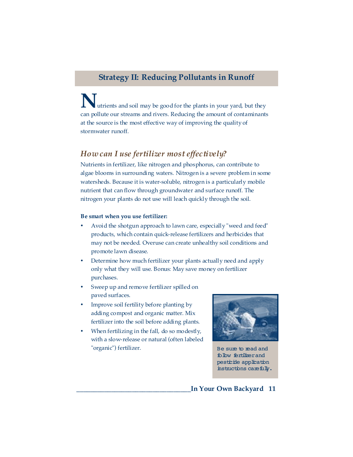# **Strategy II: Reducing Pollutants in Runoff**

utrients and soil may be good for the plants in your yard, but they can pollute our streams and rivers. Reducing the amount of contaminants at the source is the most effective way of improving the quality of stormwater runoff.

## *How can I use fertilizer most effectively?*

Nutrients in fertilizer, like nitrogen and phosphorus, can contribute to algae blooms in surrounding waters. Nitrogen is a severe problem in some watersheds. Because it is water-soluble, nitrogen is a particularly mobile nutrient that can flow through groundwater and surface runoff. The nitrogen your plants do not use will leach quickly through the soil.

### **Be smart when you use fertilizer:**

- Avoid the shotgun approach to lawn care, especially "weed and feed" products, which contain quick-release fertilizers and herbicides that may not be needed. Overuse can create unhealthy soil conditions and promote lawn disease.
- Determine how much fertilizer your plants actually need and apply only what they will use. Bonus: May save money on fertilizer purchases.
- Sweep up and remove fertilizer spilled on paved surfaces.
- Improve soil fertility before planting by adding compost and organic matter. Mix fertilizer into the soil before adding plants.
- When fertilizing in the fall, do so modestly, with a slow-release or natural (often labeled "organic") fertilizer.



Be sure to read and follow fertilizerand pesticide application instructions carefully.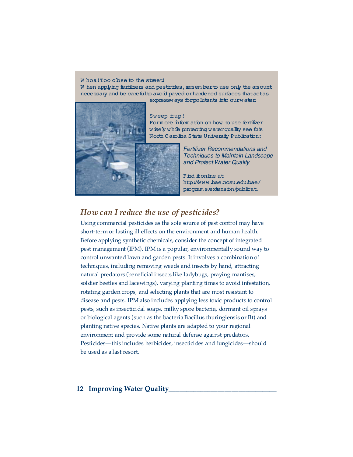#### W hoa! Too cbse to the street!

W hen applying fertilizers and pesticides, rem em berto use only the amount necessary and be carefulto avoid paved orhardened surfaces thatactas



#### expressways forpollutants into ourwater.

Sweep  $\texttt{tup!}$ Form one inform ation on how to use fertilizer wisely while protecting water quality see this North Carolina State University Publication:

> *Fertilizer Recommendations and Techniques to Maintain Landscape and Protect Water Quality*

Find itonline at http://www.bae.ncsu.edu/bae/ program s/extension/publicat.

# *How can I reduce the use of pesticides?*

Using commercial pesticides as the sole source of pest control may have short-term or lasting ill effects on the environment and human health. Before applying synthetic chemicals, consider the concept of integrated pest management (IPM). IPM is a popular, environmentally sound way to control unwanted lawn and garden pests. It involves a combination of techniques, including removing weeds and insects by hand, attracting natural predators (beneficial insects like ladybugs, praying mantises, soldier beetles and lacewings), varying planting times to avoid infestation, rotating garden crops, and selecting plants that are most resistant to disease and pests. IPM also includes applying less toxic products to control pests, such as insecticidal soaps, milky spore bacteria, dormant oil sprays or biological agents (such as the bacteria Bacillus thuringiensis or Bt) and planting native species. Native plants are adapted to your regional environment and provide some natural defense against predators. Pesticides—this includes herbicides, insecticides and fungicides—should be used as a last resort.

## **12 Improving Water Quality\_\_\_\_\_\_\_\_\_\_\_\_\_\_\_\_\_\_\_\_\_\_\_\_\_\_\_\_\_\_\_**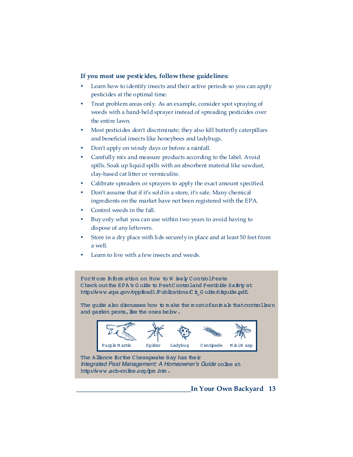## **If you must use pesticides, follow these guidelines:**

- Learn how to identify insects and their active periods so you can apply pesticides at the optimal time.
- Treat problem areas only. As an example, consider spot spraying of weeds with a hand-held sprayer instead of spreading pesticides over the entire lawn.
- Most pesticides don't discriminate; they also kill butterfly caterpillars and beneficial insects like honeybees and ladybugs.
- Don't apply on windy days or before a rainfall.
- Carefully mix and measure products according to the label. Avoid spills. Soak up liquid spills with an absorbent material like sawdust, clay-based cat litter or vermiculite.
- Calibrate spreaders or sprayers to apply the exact amount specified.
- Don't assume that if it's sold in a store, it's safe. Many chemical ingredients on the market have not been registered with the EPA.
- Control weeds in the fall.
- Buy only what you can use within two years to avoid having to dispose of any leftovers.
- Store in a dry place with lids securely in place and at least 50 feet from a well.
- Learn to live with a few insects and weeds.

For M ore Inform ation on How to W isely Control Pests Check out the EPA's Guide to Pest Controland Pesticide Safety at http://www.epa.gov/oppfead1/Publications/Cit\_G uide/citguide.pdf.

The guide also discusses how to m ake the mostofanim als that controllawn and garden pests, like the ones bebw.



The Alliance for the Chesapeake Bay has their *Integrated Pest Management: A Homeowner's Guide* online at http://www.acb-online.org/ipm.htm.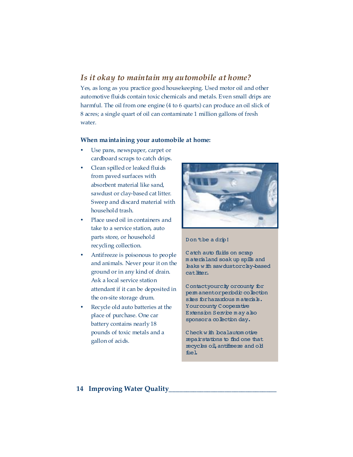# *Is it okay to maintain my automobile at home?*

Yes, as long as you practice good housekeeping. Used motor oil and other automotive fluids contain toxic chemicals and metals. Even small drips are harmful. The oil from one engine (4 to 6 quarts) can produce an oil slick of 8 acres; a single quart of oil can contaminate 1 million gallons of fresh water.

## **When maintaining your automobile at home:**

- Use pans, newspaper, carpet or cardboard scraps to catch drips.
- Clean spilled or leaked fluids from paved surfaces with absorbent material like sand, sawdust or clay-based cat litter. Sweep and discard material with household trash.
- Place used oil in containers and take to a service station, auto parts store, or household recycling collection.
- Antifreeze is poisonous to people and animals. Never pour it on the ground or in any kind of drain. Ask a local service station attendant if it can be deposited in the on-site storage drum.
- Recycle old auto batteries at the place of purchase. One car battery contains nearly 18 pounds of toxic metals and a gallon of acids.



## Don'tbe a drip!

Catch auto fluids on scrap m aterialand soak up spills and haks with sawdustorchy-based cat litter.

Contactyourcity or county for perm anentorperiodic collection sites for hazardous materials. Your county Cooperative Extension Service may also sponsora collection day.

Check with bcalautom otive repairstations to find one that recycles oil,antifreeze and old fuel.

## **14 Improving Water Quality\_\_\_\_\_\_\_\_\_\_\_\_\_\_\_\_\_\_\_\_\_\_\_\_\_\_\_\_\_\_\_**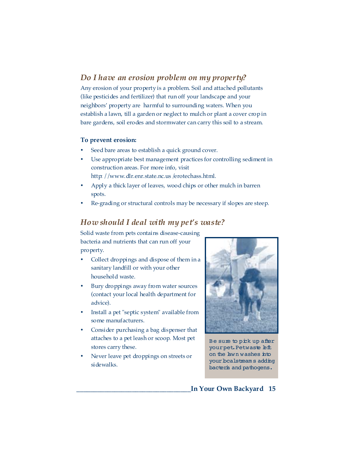# *Do I have an erosion problem on my property?*

Any erosion of your property is a problem. Soil and attached pollutants (like pesticides and fertilizer) that run off your landscape and your neighbors' property are harmful to surrounding waters. When you establish a lawn, till a garden or neglect to mulch or plant a cover crop in bare gardens, soil erodes and stormwater can carry this soil to a stream.

## **To prevent erosion:**

- Seed bare areas to establish a quick ground cover.
- Use appropriate best management practices for controlling sediment in construction areas. For more info, visit http: //www.dlr.enr.state.nc.us /erotechass.html.
- Apply a thick layer of leaves, wood chips or other mulch in barren spots.
- Re-grading or structural controls may be necessary if slopes are steep.

# *How should I deal with my pet's waste?*

Solid waste from pets contains disease-causing bacteria and nutrients that can run off your property.

- Collect droppings and dispose of them in a sanitary landfill or with your other household waste.
- Bury droppings away from water sources (contact your local health department for advice).
- Install a pet "septic system" available from some manufacturers.
- Consider purchasing a bag dispenser that attaches to a pet leash or scoop. Most pet stores carry these.
- Never leave pet droppings on streets or sidewalks.



Be sure to pick up after your pet. Petwaste **bft** on the lawn washes into your bcalstream s adding bacteria and pathogens.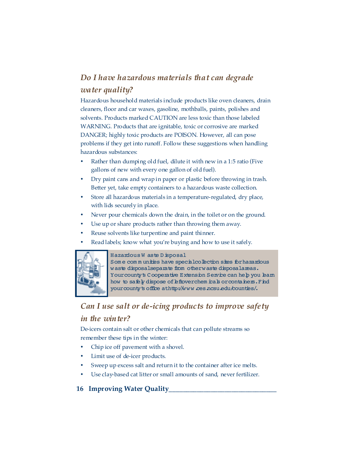# *Do I have hazardous materials that can degrade*

## *water quality?*

Hazardous household materials include products like oven cleaners, drain cleaners, floor and car waxes, gasoline, mothballs, paints, polishes and solvents. Products marked CAUTION are less toxic than those labeled WARNING. Products that are ignitable, toxic or corrosive are marked DANGER; highly toxic products are POISON. However, all can pose problems if they get into runoff. Follow these suggestions when handling hazardous substances:

- Rather than dumping old fuel, dilute it with new in a 1:5 ratio (Five gallons of new with every one gallon of old fuel).
- Dry paint cans and wrap in paper or plastic before throwing in trash. Better yet, take empty containers to a hazardous waste collection.
- Store all hazardous materials in a temperature-regulated, dry place, with lids securely in place.
- Never pour chemicals down the drain, in the toilet or on the ground.
- Use up or share products rather than throwing them away.
- Reuse solvents like turpentine and paint thinner.
- Read labels; know what you're buying and how to use it safely.



## Hazardous Waste Disposal

Some communities have specialcollection sites for hazardous waste disposalseparate from otherwaste disposalareas. Yourcounty's Cooperative Extension Service can help you learn how to safely dispose of leftoverchem icals or containers. Find your county's office athttp://www.ces.ncsu.edu/counties/.

# *Can I use salt or de-icing products to improve safety in the winter?*

De-icers contain salt or other chemicals that can pollute streams so remember these tips in the winter:

- Chip ice off pavement with a shovel.
- Limit use of de-icer products.
- Sweep up excess salt and return it to the container after ice melts.
- Use clay-based cat litter or small amounts of sand, never fertilizer.

# **16 Improving Water Quality\_\_\_\_\_\_\_\_\_\_\_\_\_\_\_\_\_\_\_\_\_\_\_\_\_\_\_\_\_\_\_**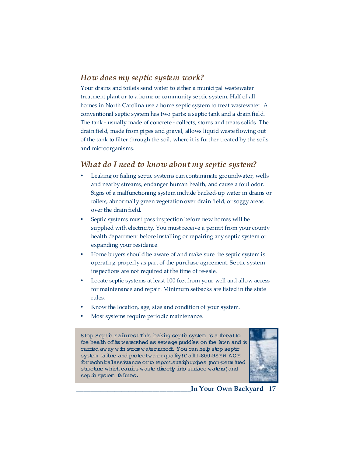# *How does my septic system work?*

Your drains and toilets send water to either a municipal wastewater treatment plant or to a home or community septic system. Half of all homes in North Carolina use a home septic system to treat wastewater. A conventional septic system has two parts: a septic tank and a drain field. The tank - usually made of concrete - collects, stores and treats solids. The drain field, made from pipes and gravel, allows liquid waste flowing out of the tank to filter through the soil, where it is further treated by the soils and microorganisms.

## *What do I need to know about my septic system?*

- Leaking or failing septic systems can contaminate groundwater, wells and nearby streams, endanger human health, and cause a foul odor. Signs of a malfunctioning system include backed-up water in drains or toilets, abnormally green vegetation over drain field, or soggy areas over the drain field.
- Septic systems must pass inspection before new homes will be supplied with electricity. You must receive a permit from your county health department before installing or repairing any septic system or expanding your residence.
- Home buyers should be aware of and make sure the septic system is operating properly as part of the purchase agreement. Septic system inspections are not required at the time of re-sale.
- Locate septic systems at least 100 feet from your well and allow access for maintenance and repair. Minimum setbacks are listed in the state rules.
- Know the location, age, size and condition of your system.
- Most systems require periodic maintenance.

Stop Septic Failures! This leaking septic system is a threatto the health of its watershed as sewage puddles on the lawn and is carried away with storm water nunoff. You can help stop septic system failure and protectwaterquality!Call1-800-9SEW AGE fortechnicalassistance orto reportstraightpipes (non-perm itted structure which carries waste directly into surface waters) and septic system failures.

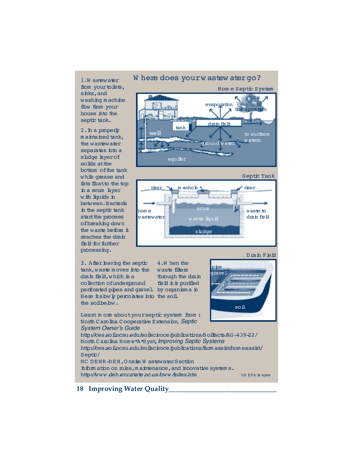1.W astewater from your to ibts, sinks,and washing machine flow from your house into the septic tank.

2.In a properly m a *inta* ined tank, the wastewater separates into a sludge hyerof solids atthe bottom ofthe tank while qrease and fats fbatto the top in a scum layer with liquids in between.Bacteria in the septic tank start the process ofbreaking down the waste before  $\pm$ reaches the drain field for further processing.

Where does your w astew atergo?

Hom e Septic System



Septic Tank



3. After baving the septic tank,waste m oves into the drain field, which is a collection ofunderground  $\operatorname{perf\!o}$  at the pipes and gravel. by organisms in Here its bwly percolates into the soil. the soilbebw. 4.W hen the waste filters through the drain field it is purified

Drain Field



Leam m ore aboutyour septic system from : North Carolina Cooperative Extension*, Septic System Owner's Guide* 

http://ces.soil.ncsu.edu/soilscience/publications/Soilfacts/AG -439-22/ North Carolina Hom e\*A\*Syst,*Improving Septic Systems*  http://ces.soil.ncsu.edu/soilscience/publications/farm assist/hom eassist/ Septic/ NC DENR-DEH,O nsite W astewaterSection

Inform ation on rules, m a intenance, and innovative system s. http://www.deh.enr.state.nc.us/oww/index.htm US EPA Im ages

## **18 Improving Water Quality**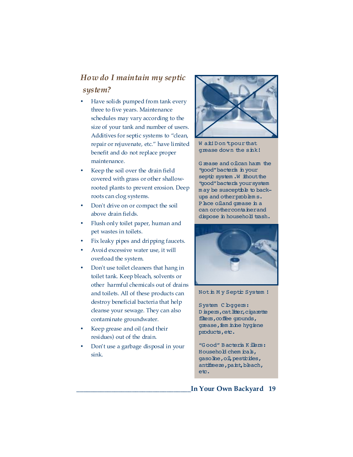# *How do I maintain my septic system?*

- Have solids pumped from tank every three to five years. Maintenance schedules may vary according to the size of your tank and number of users. Additives for septic systems to "clean, repair or rejuvenate, etc." have limited benefit and do not replace proper maintenance.
- Keep the soil over the drain field covered with grass or other shallowrooted plants to prevent erosion. Deep roots can clog systems.
- Don't drive on or compact the soil above drain fields.
- Flush only toilet paper, human and pet wastes in toilets.
- Fix leaky pipes and dripping faucets.
- Avoid excessive water use, it will overload the system.
- Don't use toilet cleaners that hang in toilet tank. Keep bleach, solvents or other harmful chemicals out of drains and toilets. All of these products can destroy beneficial bacteria that help cleanse your sewage. They can also contaminate groundwater.
- Keep grease and oil (and their residues) out of the drain.
- Don't use a garbage disposal in your sink.



Wait! Don 'tpour that grease down the sink!

G rease and oilcan harm the "good"bacteria in your septic system .W ithout the "good"bacteria yoursystem m ay be susceptible to backups and otherproblem s. Phce oiland grease in a can orothercontainerand dispose in household trash.



### Notin M y Septic System !

System C bggers: Diapers, cat litter, cigarette filters, coffee grounds, grease, fem inine hygiene products, etc.

"G ood" Bacteria Killers: Household chem icals, gasoline, oil, pesticides, antifreeze, paint, bleach, etc.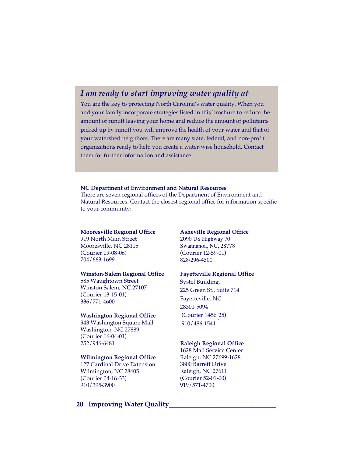# *I am ready to start improving water quality at*

You are the key to protecting North Carolina's water quality. When you and your family incorporate strategies listed in this brochure to reduce the amount of runoff leaving your home and reduce the amount of pollutants picked up by runoff you will improve the health of your water and that of your watershed neighbors. There are many state, federal, and non-profit organizations ready to help you create a water-wise household. Contact them for further information and assistance.

#### **NC Department of Environment and Natural Resources**

There are seven regional offices of the Department of Environment and Natural Resources. Contact the closest regional office for information specific to your community:

## **Mooresville Regional Office**

919 North Main Street Mooresville, NC 28115 (Courier 09-08-06) 704/663-1699

#### **Winston-Salem Regional Office**

585 Waughtown Street Winston-Salem, NC 27107 (Courier 13-15-01) 336/771-4600

#### **Washington Regional Office**

943 Washington Square Mall Washington, NC 27889 (Courier 16-04-01) 252/946-6481

#### **Wilmington Regional Office**

127 Cardinal Drive Extension Wilmington, NC 28405 (Courier 04-16-33) 910/395-3900

#### **Asheville Regional Office**

2090 US Highway 70 Swannanoa, NC, 28778 (Courier 12-59-01) 828/296-4500

### **Fayetteville Regional Office**

Systel Building, 225 Green St., Suite 714 Fayetteville, NC 28301-5094 (Courier 1456-25)<br>010 / 106-1541 910/486-1541

## **Raleigh Regional Office**

1628 Mail Service Center Raleigh, NC 27699-1628 3800 Barrett Drive Raleigh, NC 27611 (Courier 52-01-00) 919/571-4700

## **20 Improving Water Quality\_\_\_\_\_\_\_\_\_\_\_\_\_\_\_\_\_\_\_\_\_\_\_\_\_\_\_\_\_\_\_**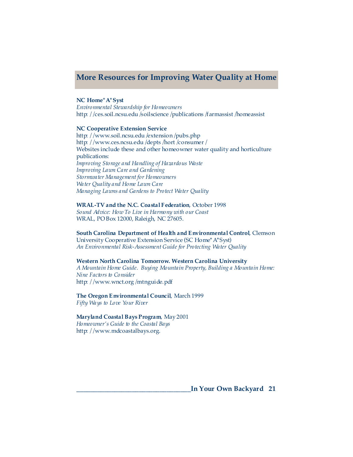# **More Resources for Improving Water Quality at Home**

#### **NC Home\*A\*Syst**

*Environmental Stewardship for Homeowners*  http: //ces.soil.ncsu.edu/soilscience /publications /farmassist /homeassist

#### **NC Cooperative Extension Service**

http://www.soil.ncsu.edu/extension/pubs.php http: //www.ces.ncsu.edu/depts /hort /consumer / Websites include these and other homeowner water quality and horticulture publications: *Improving Storage and Handling of Hazardous Waste Improving Lawn Care and Gardening Stormwater Management for Homeowners Wa ter Quality and Home Lawn Care Managing Lawns and Gardens to Protect Water Quality* 

#### **WRAL-TV and the N.C. Coastal Federation**, October 1998

*Sound Advice: How To Live in Harmony with our Coast*  WRAL, PO Box 12000, Raleigh, NC 27605.

#### **South Carolina Department of Health and Environmental Control**, Clemson

University Cooperative Extension Service (SC Home\* A\*Syst) *An Environmental Risk-Assessment Guide for Protecting Water Quality* 

#### **Western North Carolina Tomorrow. Western Carolina University**

*A Mountain Home Guide. Buying Mountain Property, Building a Mountain Home: Nine Factors to Consider* http: //www.wnct.org/mtnguide.pdf

#### **The Oregon Environmental Council**, March 1999 *Fifty Wa ys to Love Your River*

### **Maryland Coastal Bays Program**, May 2001

*Homeowner's Guide to the Coastal Bays*  http: //www.mdcoastalbays.org.